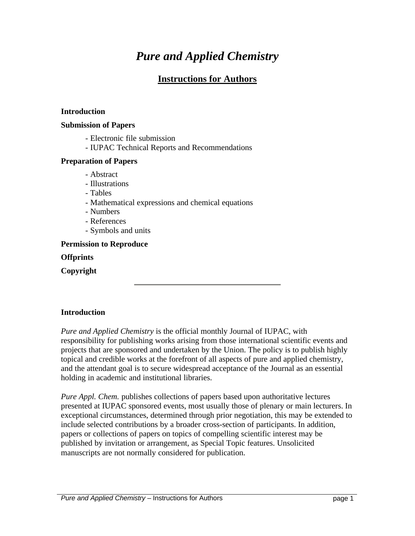# *Pure and Applied Chemistry*

# **Instructions for Authors**

#### **Introduction**

#### **Submission of Papers**

- Electronic file submission
- IUPAC Technical Reports and Recommendations

#### **Preparation of Papers**

- Abstract
- Illustrations
- Tables
- Mathematical expressions and chemical equations
- Numbers
- References
- Symbols and units

#### **Permission to Reproduce**

#### **Offprints**

**Copyright**

#### **Introduction**

*Pure and Applied Chemistry* is the official monthly Journal of IUPAC, with responsibility for publishing works arising from those international scientific events and projects that are sponsored and undertaken by the Union. The policy is to publish highly topical and credible works at the forefront of all aspects of pure and applied chemistry, and the attendant goal is to secure widespread acceptance of the Journal as an essential holding in academic and institutional libraries.

*Pure Appl. Chem.* publishes collections of papers based upon authoritative lectures presented at IUPAC sponsored events, most usually those of plenary or main lecturers. In exceptional circumstances, determined through prior negotiation, this may be extended to include selected contributions by a broader cross-section of participants. In addition, papers or collections of papers on topics of compelling scientific interest may be published by invitation or arrangement, as Special Topic features. Unsolicited manuscripts are not normally considered for publication.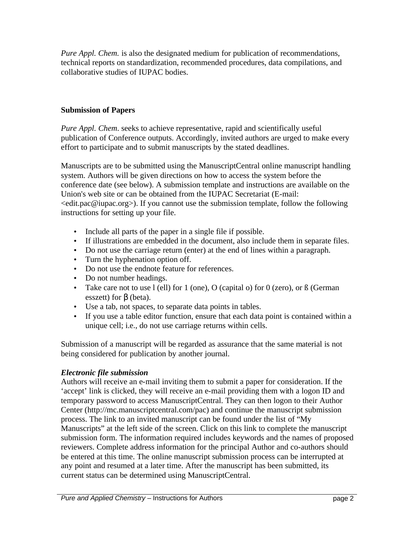*Pure Appl. Chem.* is also the designated medium for publication of recommendations, technical reports on standardization, recommended procedures, data compilations, and collaborative studies of IUPAC bodies.

#### **Submission of Papers**

*Pure Appl. Chem*. seeks to achieve representative, rapid and scientifically useful publication of Conference outputs. Accordingly, invited authors are urged to make every effort to participate and to submit manuscripts by the stated deadlines.

Manuscripts are to be submitted using the ManuscriptCentral online manuscript handling system. Authors will be given directions on how to access the system before the conference date (see below). A submission template and instructions are available on the Union's web site or can be obtained from the IUPAC Secretariat (E-mail:  $\le$ edit.pac@iupac.org>). If you cannot use the submission template, follow the following instructions for setting up your file.

- Include all parts of the paper in a single file if possible.
- If illustrations are embedded in the document, also include them in separate files.
- Do not use the carriage return (enter) at the end of lines within a paragraph.
- Turn the hyphenation option off.
- Do not use the endnote feature for references.
- Do not number headings.
- Take care not to use  $l$  (ell) for  $l$  (one),  $O$  (capital o) for  $0$  (zero), or  $\beta$  (German esszett) for β (beta).
- Use a tab, not spaces, to separate data points in tables.
- If you use a table editor function, ensure that each data point is contained within a unique cell; i.e., do not use carriage returns within cells.

Submission of a manuscript will be regarded as assurance that the same material is not being considered for publication by another journal.

#### *Electronic file submission*

Authors will receive an e-mail inviting them to submit a paper for consideration. If the 'accept' link is clicked, they will receive an e-mail providing them with a logon ID and temporary password to access ManuscriptCentral. They can then logon to their Author Center (http://mc.manuscriptcentral.com/pac) and continue the manuscript submission process. The link to an invited manuscript can be found under the list of "My Manuscripts" at the left side of the screen. Click on this link to complete the manuscript submission form. The information required includes keywords and the names of proposed reviewers. Complete address information for the principal Author and co-authors should be entered at this time. The online manuscript submission process can be interrupted at any point and resumed at a later time. After the manuscript has been submitted, its current status can be determined using ManuscriptCentral.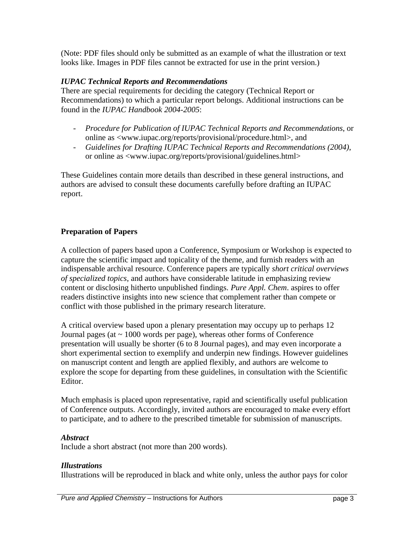(Note: PDF files should only be submitted as an example of what the illustration or text looks like. Images in PDF files cannot be extracted for use in the print version.)

#### *IUPAC Technical Reports and Recommendations*

There are special requirements for deciding the category (Technical Report or Recommendations) to which a particular report belongs. Additional instructions can be found in the *IUPAC Handbook 2004-2005*:

- *Procedure for Publication of IUPAC Technical Reports and Recommendations*, or online as <www.iupac.org/reports/provisional/procedure.html>, and
- *Guidelines for Drafting IUPAC Technical Reports and Recommendations (2004)*, or online as <www.iupac.org/reports/provisional/guidelines.html>

These Guidelines contain more details than described in these general instructions, and authors are advised to consult these documents carefully before drafting an IUPAC report.

## **Preparation of Papers**

A collection of papers based upon a Conference, Symposium or Workshop is expected to capture the scientific impact and topicality of the theme, and furnish readers with an indispensable archival resource. Conference papers are typically *short critical overviews of specialized topics*, and authors have considerable latitude in emphasizing review content or disclosing hitherto unpublished findings. *Pure Appl. Chem*. aspires to offer readers distinctive insights into new science that complement rather than compete or conflict with those published in the primary research literature.

A critical overview based upon a plenary presentation may occupy up to perhaps 12 Journal pages (at  $\sim 1000$  words per page), whereas other forms of Conference presentation will usually be shorter (6 to 8 Journal pages), and may even incorporate a short experimental section to exemplify and underpin new findings. However guidelines on manuscript content and length are applied flexibly, and authors are welcome to explore the scope for departing from these guidelines, in consultation with the Scientific Editor.

Much emphasis is placed upon representative, rapid and scientifically useful publication of Conference outputs. Accordingly, invited authors are encouraged to make every effort to participate, and to adhere to the prescribed timetable for submission of manuscripts.

#### *Abstract*

Include a short abstract (not more than 200 words).

#### *Illustrations*

Illustrations will be reproduced in black and white only, unless the author pays for color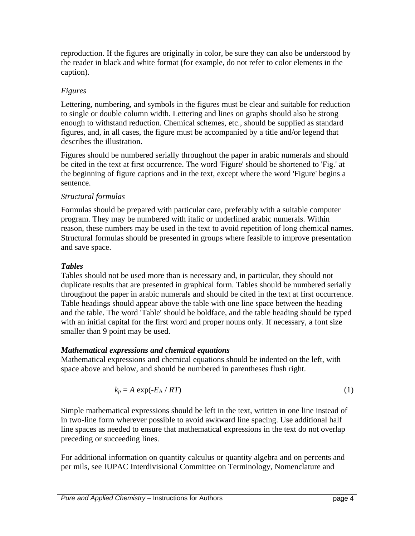reproduction. If the figures are originally in color, be sure they can also be understood by the reader in black and white format (for example, do not refer to color elements in the caption).

# *Figures*

Lettering, numbering, and symbols in the figures must be clear and suitable for reduction to single or double column width. Lettering and lines on graphs should also be strong enough to withstand reduction. Chemical schemes, etc., should be supplied as standard figures, and, in all cases, the figure must be accompanied by a title and/or legend that describes the illustration.

Figures should be numbered serially throughout the paper in arabic numerals and should be cited in the text at first occurrence. The word 'Figure' should be shortened to 'Fig.' at the beginning of figure captions and in the text, except where the word 'Figure' begins a sentence.

# *Structural formulas*

Formulas should be prepared with particular care, preferably with a suitable computer program. They may be numbered with italic or underlined arabic numerals. Within reason, these numbers may be used in the text to avoid repetition of long chemical names. Structural formulas should be presented in groups where feasible to improve presentation and save space.

# *Tables*

Tables should not be used more than is necessary and, in particular, they should not duplicate results that are presented in graphical form. Tables should be numbered serially throughout the paper in arabic numerals and should be cited in the text at first occurrence. Table headings should appear above the table with one line space between the heading and the table. The word 'Table' should be boldface, and the table heading should be typed with an initial capital for the first word and proper nouns only. If necessary, a font size smaller than 9 point may be used.

# *Mathematical expressions and chemical equations*

Mathematical expressions and chemical equations should be indented on the left, with space above and below, and should be numbered in parentheses flush right.

$$
k_p = A \exp(-E_A / RT) \tag{1}
$$

Simple mathematical expressions should be left in the text, written in one line instead of in two-line form wherever possible to avoid awkward line spacing. Use additional half line spaces as needed to ensure that mathematical expressions in the text do not overlap preceding or succeeding lines.

For additional information on quantity calculus or quantity algebra and on percents and per mils, see IUPAC Interdivisional Committee on Terminology, Nomenclature and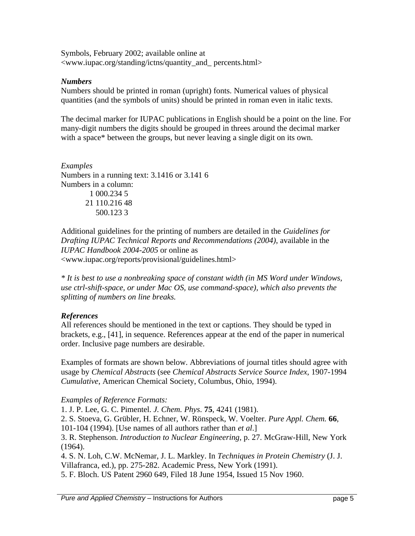Symbols, February 2002; available online at <www.iupac.org/standing/ictns/quantity\_and\_ percents.html>

#### *Numbers*

Numbers should be printed in roman (upright) fonts. Numerical values of physical quantities (and the symbols of units) should be printed in roman even in italic texts.

The decimal marker for IUPAC publications in English should be a point on the line. For many-digit numbers the digits should be grouped in threes around the decimal marker with a space\* between the groups, but never leaving a single digit on its own.

*Examples* Numbers in a running text: 3.1416 or 3.141 6 Numbers in a column: 1 000.234 5 21 110.216 48 500.123 3

Additional guidelines for the printing of numbers are detailed in the *Guidelines for Drafting IUPAC Technical Reports and Recommendations (2004)*, available in the *IUPAC Handbook 2004-2005* or online as <www.iupac.org/reports/provisional/guidelines.html>

*\* It is best to use a nonbreaking space of constant width (in MS Word under Windows, use ctrl-shift-space, or under Mac OS, use command-space), which also prevents the splitting of numbers on line breaks.*

## *References*

All references should be mentioned in the text or captions. They should be typed in brackets, e.g., [41], in sequence. References appear at the end of the paper in numerical order. Inclusive page numbers are desirable.

Examples of formats are shown below. Abbreviations of journal titles should agree with usage by *Chemical Abstracts* (see *Chemical Abstracts Service Source Index*, 1907-1994 *Cumulative*, American Chemical Society, Columbus, Ohio, 1994).

## *Examples of Reference Formats:*

1. J. P. Lee, G. C. Pimentel. *J. Chem. Phys*. **75**, 4241 (1981).

2. S. Stoeva, G. Grübler, H. Echner, W. Rönspeck, W. Voelter. *Pure Appl. Chem.* **66**,

101-104 (1994). [Use names of all authors rather than *et al*.]

3. R. Stephenson. *Introduction to Nuclear Engineering*, p. 27. McGraw-Hill, New York (1964).

4. S. N. Loh, C.W. McNemar, J. L. Markley. In *Techniques in Protein Chemistry* (J. J. Villafranca, ed.), pp. 275-282. Academic Press, New York (1991). 5. F. Bloch. US Patent 2960 649, Filed 18 June 1954, Issued 15 Nov 1960.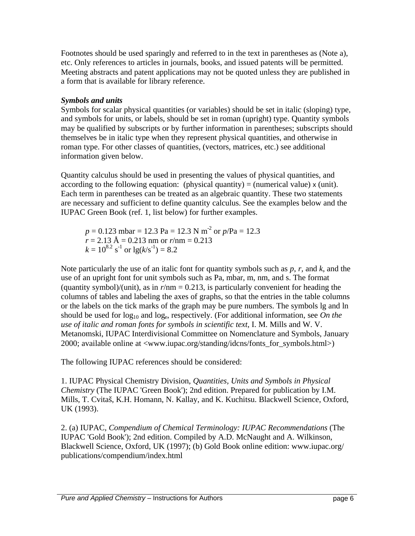Footnotes should be used sparingly and referred to in the text in parentheses as (Note a), etc. Only references to articles in journals, books, and issued patents will be permitted. Meeting abstracts and patent applications may not be quoted unless they are published in a form that is available for library reference.

### *Symbols and units*

Symbols for scalar physical quantities (or variables) should be set in italic (sloping) type, and symbols for units, or labels, should be set in roman (upright) type. Quantity symbols may be qualified by subscripts or by further information in parentheses; subscripts should themselves be in italic type when they represent physical quantities, and otherwise in roman type. For other classes of quantities, (vectors, matrices, etc.) see additional information given below.

Quantity calculus should be used in presenting the values of physical quantities, and according to the following equation: (physical quantity) = (numerical value)  $x$  (unit). Each term in parentheses can be treated as an algebraic quantity. These two statements are necessary and sufficient to define quantity calculus. See the examples below and the IUPAC Green Book (ref. 1, list below) for further examples.

*p* = 0.123 mbar = 12.3 Pa = 12.3 N m-2 or *p*/Pa = 12.3  $r = 2.13 \text{ Å} = 0.213 \text{ nm}$  or  $r/\text{nm} = 0.213$  $k = 10^{8.2}$  s<sup>-1</sup> or  $\lg(k/s^{-1}) = 8.2$ 

Note particularly the use of an italic font for quantity symbols such as *p*, *r,* and *k*, and the use of an upright font for unit symbols such as Pa, mbar, m, nm, and s. The format (quantity symbol)/(unit), as in  $r/m = 0.213$ , is particularly convenient for heading the columns of tables and labeling the axes of graphs, so that the entries in the table columns or the labels on the tick marks of the graph may be pure numbers. The symbols lg and ln should be used for  $log_{10}$  and  $log_e$ , respectively. (For additional information, see *On the use of italic and roman fonts for symbols in scientific text*, I. M. Mills and W. V. Metanomski, IUPAC Interdivisional Committee on Nomenclature and Symbols, January 2000; available online at <www.iupac.org/standing/idcns/fonts\_for\_symbols.html>)

The following IUPAC references should be considered:

1. IUPAC Physical Chemistry Division, *Quantities, Units and Symbols in Physical Chemistry* (The IUPAC 'Green Book'); 2nd edition. Prepared for publication by I.M. Mills, T. Cvitaš, K.H. Homann, N. Kallay, and K. Kuchitsu. Blackwell Science, Oxford, UK (1993).

2. (a) IUPAC, *Compendium of Chemical Terminology: IUPAC Recommendations* (The IUPAC 'Gold Book'); 2nd edition. Compiled by A.D. McNaught and A. Wilkinson, Blackwell Science, Oxford, UK (1997); (b) Gold Book online edition: www.iupac.org/ publications/compendium/index.html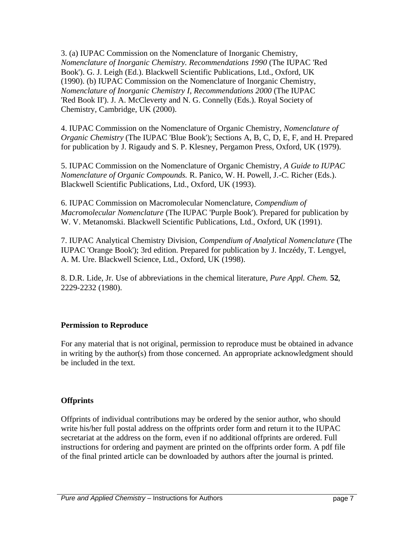3. (a) IUPAC Commission on the Nomenclature of Inorganic Chemistry, *Nomenclature of Inorganic Chemistry. Recommendations 1990* (The IUPAC 'Red Book'). G. J. Leigh (Ed.). Blackwell Scientific Publications, Ltd., Oxford, UK (1990). (b) IUPAC Commission on the Nomenclature of Inorganic Chemistry, *Nomenclature of Inorganic Chemistry I, Recommendations 2000* (The IUPAC 'Red Book II'). J. A. McCleverty and N. G. Connelly (Eds.). Royal Society of Chemistry, Cambridge, UK (2000).

4. IUPAC Commission on the Nomenclature of Organic Chemistry, *Nomenclature of Organic Chemistry* (The IUPAC 'Blue Book'); Sections A, B, C, D, E, F, and H. Prepared for publication by J. Rigaudy and S. P. Klesney, Pergamon Press, Oxford, UK (1979).

5. IUPAC Commission on the Nomenclature of Organic Chemistry, *A Guide to IUPAC Nomenclature of Organic Compounds.* R. Panico, W. H. Powell, J.-C. Richer (Eds.). Blackwell Scientific Publications, Ltd., Oxford, UK (1993).

6. IUPAC Commission on Macromolecular Nomenclature, *Compendium of Macromolecular Nomenclature* (The IUPAC 'Purple Book'). Prepared for publication by W. V. Metanomski. Blackwell Scientific Publications, Ltd., Oxford, UK (1991).

7. IUPAC Analytical Chemistry Division, *Compendium of Analytical Nomenclature* (The IUPAC 'Orange Book'); 3rd edition. Prepared for publication by J. Inczédy, T. Lengyel, A. M. Ure. Blackwell Science, Ltd., Oxford, UK (1998).

8. D.R. Lide, Jr. Use of abbreviations in the chemical literature, *Pure Appl. Chem.* **52**, 2229-2232 (1980).

## **Permission to Reproduce**

For any material that is not original, permission to reproduce must be obtained in advance in writing by the author(s) from those concerned. An appropriate acknowledgment should be included in the text.

## **Offprints**

Offprints of individual contributions may be ordered by the senior author, who should write his/her full postal address on the offprints order form and return it to the IUPAC secretariat at the address on the form, even if no additional offprints are ordered. Full instructions for ordering and payment are printed on the offprints order form. A pdf file of the final printed article can be downloaded by authors after the journal is printed.